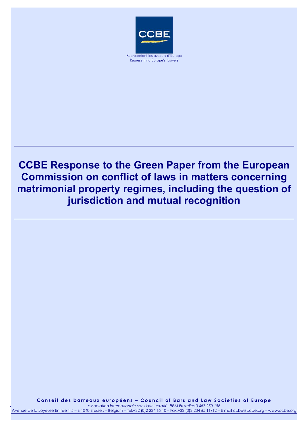

Representing Europe's lawyers

# **CCBE Response to the Green Paper from the European Commission on conflict of laws in matters concerning matrimonial property regimes, including the question of jurisdiction and mutual recognition**

*association internationale sans but lucratif* **Conseil des barreaux européens – Council of Bars and Law Societies of Europe**  examples by the concept of the contract of the contract of the concept of the concept of the casociation internationale sans but lucratif - RPM Bruxelles 0.467.250.186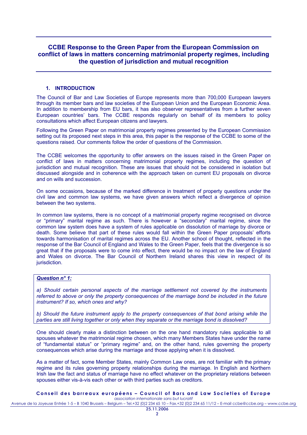# **CCBE Response to the Green Paper from the European Commission on conflict of laws in matters concerning matrimonial property regimes, including the question of jurisdiction and mutual recognition**

## **1. INTRODUCTION**

The Council of Bar and Law Societies of Europe represents more than 700,000 European lawyers through its member bars and law societies of the European Union and the European Economic Area. In addition to membership from EU bars, it has also observer representatives from a further seven European countries' bars. The CCBE responds regularly on behalf of its members to policy consultations which affect European citizens and lawyers.

Following the Green Paper on matrimonial property regimes presented by the European Commission setting out its proposed next steps in this area, this paper is the response of the CCBE to some of the questions raised. Our comments follow the order of questions of the Commission.

The CCBE welcomes the opportunity to offer answers on the issues raised in the Green Paper on conflict of laws in matters concerning matrimonial property regimes, including the question of jurisdiction and mutual recognition. These are issues that should not be considered in isolation but discussed alongside and in coherence with the approach taken on current EU proposals on divorce and on wills and succession.

On some occasions, because of the marked difference in treatment of property questions under the civil law and common law systems, we have given answers which reflect a divergence of opinion between the two systems.

In common law systems, there is no concept of a matrimonial property regime recognised on divorce or "primary" marital regime as such. There is however a "secondary" marital regime, since the common law system does have a system of rules applicable on dissolution of marriage by divorce or death. Some believe that part of these rules would fall within the Green Paper proposals' efforts towards harmonisation of marital regimes across the EU. Another school of thought, reflected in the response of the Bar Council of England and Wales to the Green Paper, feels that the divergence is so great that if the proposals were to come into effect, there would be no impact on the law of England and Wales on divorce. The Bar Council of Northern Ireland shares this view in respect of its jurisdiction.

# *Question n° 1:*

*a) Should certain personal aspects of the marriage settlement not covered by the instruments referred to above or only the property consequences of the marriage bond be included in the future instrument? If so, which ones and why?* 

*b) Should the future instrument apply to the property consequences of that bond arising while the parties are still living together or only when they separate or the marriage bond is dissolved?* 

One should clearly make a distinction between on the one hand mandatory rules applicable to all spouses whatever the matrimonial regime chosen, which many Members States have under the name of "fundamental status" or "primary regime" and, on the other hand, rules governing the property consequences which arise during the marriage and those applying when it is dissolved.

As a matter of fact, some Member States, mainly Common Law ones, are not familiar with the primary regime and its rules governing property relationships during the marriage. In English and Northern Irish law the fact and status of marriage have no effect whatever on the proprietary relations between spouses either vis-à-vis each other or with third parties such as creditors.

#### **Conseil des barreaux européens – Council of Bars and Law Societies of Europe**  *association internationale sans but lucratif*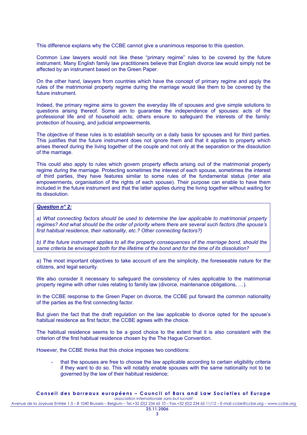This difference explains why the CCBE cannot give a unanimous response to this question.

Common Law lawyers would not like these "primary regime" rules to be covered by the future instrument. Many English family law practitioners believe that English divorce law would simply not be affected by an instrument based on the Green Paper.

On the other hand, lawyers from countries which have the concept of primary regime and apply the rules of the matrimonial property regime during the marriage would like them to be covered by the future instrument.

Indeed, the primary regime aims to govern the everyday life of spouses and give simple solutions to questions arising thereof. Some aim to guarantee the independence of spouses: acts of the professional life and of household acts; others ensure to safeguard the interests of the family: protection of housing, and judicial empowerments.

The objective of these rules is to establish security on a daily basis for spouses and for third parties. This justifies that the future instrument does not journer them and that it applies to property which arises thereof during the living together of the couple and not only at the separation or the dissolution of the marriage.

This could also apply to rules which govern property effects arising out of the matrimonial property regime during the marriage. Protecting sometimes the interest of each spouse, sometimes the interest of third parties, they have features similar to some rules of the fundamental status (inter alia empowerments, organisation of the rights of each spouse). Their purpose can enable to have them included in the future instrument and that the latter applies during the living together without waiting for its dissolution.

# *Question n° 2:*

*a) What connecting factors should be used to determine the law applicable to matrimonial property regimes? And what should be the order of priority where there are several such factors (the spouse's first habitual residence, their nationality, etc.? Other connecting factors?)* 

*b) If the future instrument applies to all the property consequences of the marriage bond, should the same criteria be envisaged both for the lifetime of the bond and for the time of its dissolution?* 

a) The most important objectives to take account of are the simplicity, the foreseeable nature for the citizens, and legal security.

We also consider it necessary to safeguard the consistency of rules applicable to the matrimonial property regime with other rules relating to family law (divorce, maintenance obligations, …).

In the CCBE response to the Green Paper on divorce, the CCBE put forward the common nationality of the parties as the first connecting factor.

But given the fact that the draft regulation on the law applicable to divorce opted for the spouse's habitual residence as first factor, the CCBE agrees with the choice.

The habitual residence seems to be a good choice to the extent that it is also consistent with the criterion of the first habitual residence chosen by the The Hague Convention.

However, the CCBE thinks that this choice imposes two conditions:

that the spouses are free to choose the law applicable according to certain eligibility criteria if they want to do so. This will notably enable spouses with the same nationality not to be governed by the law of their habitual residence;

#### **Conseil des barreaux européens – Council of Bars and Law Societies of Europe**  *association internationale sans but lucratif*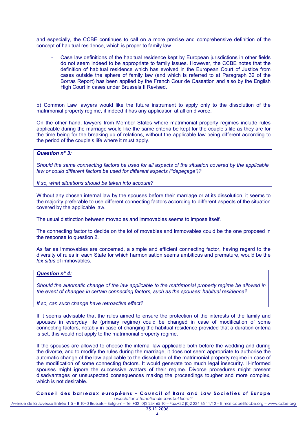and especially, the CCBE continues to call on a more precise and comprehensive definition of the concept of habitual residence, which is proper to family law

Case law definitions of the habitual residence kept by European jurisdictions in other fields do not seem indeed to be appropriate to family issues. However, the CCBE notes that the definition of habitual residence which has evolved in the European Court of Justice from cases outside the sphere of family law (and which is referred to at Paragraph 32 of the Borras Report) has been applied by the French Cour de Cassation and also by the English High Court in cases under Brussels II Revised.

b) Common Law lawyers would like the future instrument to apply only to the dissolution of the matrimonial property regime, if indeed it has any application at all on divorce.

On the other hand, lawyers from Member States where matrimonial property regimes include rules applicable during the marriage would like the same criteria be kept for the couple's life as they are for the time being for the breaking up of relations, without the applicable law being different according to the period of the couple's life where it must apply.

# *Question n° 3:*

*Should the same connecting factors be used for all aspects of the situation covered by the applicable law or could different factors be used for different aspects ("depeçage")?* 

*If so, what situations should be taken into account?* 

Without any chosen internal law by the spouses before their marriage or at its dissolution, it seems to the majority preferable to use different connecting factors according to different aspects of the situation covered by the applicable law.

The usual distinction between movables and immovables seems to impose itself.

The connecting factor to decide on the lot of movables and immovables could be the one proposed in the response to question 2.

As far as immovables are concerned, a simple and efficient connecting factor, having regard to the diversity of rules in each State for which harmonisation seems ambitious and premature, would be the *lex situs* of immovables.

#### *Question n° 4:*

*Should the automatic change of the law applicable to the matrimonial property regime be allowed in the event of changes in certain connecting factors, such as the spouses' habitual residence?* 

#### *If so, can such change have retroactive effect?*

If it seems advisable that the rules aimed to ensure the protection of the interests of the family and spouses in everyday life (primary regime) could be changed in case of modification of some connecting factors, notably in case of changing the habitual residence provided that a duration criteria is set, this would not apply to the matrimonial property regime.

If the spouses are allowed to choose the internal law applicable both before the wedding and during the divorce, and to modify the rules during the marriage, it does not seem appropriate to authorise the automatic change of the law applicable to the dissolution of the matrimonial property regime in case of the modification of some connecting factors. It would generate too much legal insecurity. Il-informed spouses might ignore the successive avatars of their regime. Divorce procedures might present disadvantages or unsuspected consequences making the proceedings tougher and more complex, which is not desirable.

**Conseil des barreaux européens – Council of Bars and Law Societies of Europe** 

*association internationale sans but lucratif* Avenue de la Joyeuse Entrée 1-5 – B 1040 Brussels – Belgium – Tel.+32 (0)2 234 65 10 – Fax.+32 (0)2 234 65 11/12 – E-mail ccbe@ccbe.org – www.ccbe.org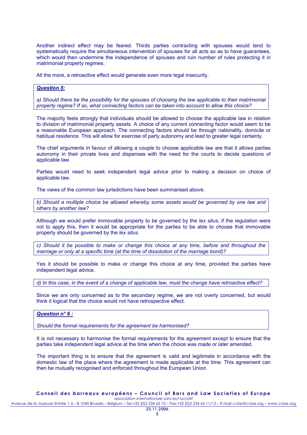Another indirect effect may be feared. Thirds parties contracting with spouses would tend to systematically require the simultaneous intervention of spouses for all acts so as to have guarantees, which would then undermine the independence of spouses and ruin number of rules protecting it in matrimonial property regimes.

All the more, a retroactive effect would generate even more legal insecurity.

## *Question 5:*

*a) Should there be the possibility for the spouses of choosing the law applicable to their matrimonial property regime? If so, what connecting factors can be taken into account to allow this choice?*

The majority feels strongly that individuals should be allowed to choose the applicable law in relation to division of matrimonial property assets. A choice of any current connecting factor would seem to be a reasonable European approach. The connecting factors should be through nationality, domicile or habitual residence. This will allow for exercise of party autonomy and lead to greater legal certainty.

The chief arguments in favour of allowing a couple to choose applicable law are that it allows parties autonomy in their private lives and dispenses with the need for the courts to decide questions of applicable law.

Parties would need to seek independent legal advice prior to making a decision on choice of applicable law.

The views of the common law jurisdictions have been summarised above.

*b) Should a multiple choice be allowed whereby some assets would be governed by one law and others by another law?*

Although we would prefer immovable property to be governed by the *lex situs*, if the regulation were not to apply this, then it would be appropriate for the parties to be able to choose that immovable property should be governed by the *lex situs.*

*c) Should it be possible to make or change this choice at any time, before and throughout the marriage or only at a specific time (at the time of dissolution of the marriage bond)?*

Yes it should be possible to make or change this choice at any time, provided the parties have independent legal advice.

*d) In this case, in the event of a change of applicable law, must the change have retroactive effect?* 

Since we are only concerned as to the secondary regime, we are not overly concerned, but would think it logical that the choice would not have retrospective effect.

### *Question n° 6 :*

*Should the formal requirements for the agreement be harmonised?*

It is not necessary to harmonise the formal requirements for the agreement except to ensure that the parties take independent legal advice at the time when the choice was made or later amended.

The important thing is to ensure that the agreement is valid and legitimate in accordance with the domestic law of the place where the agreement is made applicable at the time. This agreement can then be mutually recognised and enforced throughout the European Union.

**Conseil des barreaux européens – Council of Bars and Law Societies of Europe**  *association internationale sans but lucratif*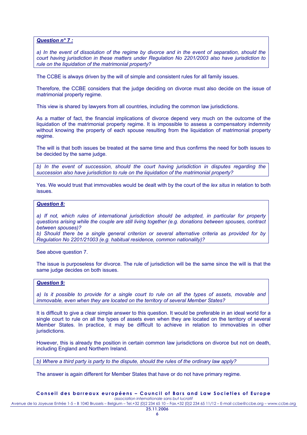*Question n° 7 :*

*a) In the event of dissolution of the regime by divorce and in the event of separation, should the court having jurisdiction in these matters under Regulation No 2201/2003 also have jurisdiction to rule on the liquidation of the matrimonial property?*

The CCBE is always driven by the will of simple and consistent rules for all family issues.

Therefore, the CCBE considers that the judge deciding on divorce must also decide on the issue of matrimonial property regime.

This view is shared by lawyers from all countries, including the common law jurisdictions.

As a matter of fact, the financial implications of divorce depend very much on the outcome of the liquidation of the matrimonial property regime. It is impossible to assess a compensatory indemnity without knowing the property of each spouse resulting from the liquidation of matrimonial property regime.

The will is that both issues be treated at the same time and thus confirms the need for both issues to be decided by the same judge.

*b) In the event of succession, should the court having jurisdiction in disputes regarding the succession also have jurisdiction to rule on the liquidation of the matrimonial property?* 

Yes. We would trust that immovables would be dealt with by the court of the *lex situs* in relation to both issues.

## *Question 8:*

*a) If not, which rules of international jurisdiction should be adopted, in particular for property questions arising while the couple are still living together (e.g. donations between spouses, contract between spouses)? b) Should there be a single general criterion or several alternative criteria as provided for by Regulation No 2201/21003 (e.g. habitual residence, common nationality)?* 

See above question 7.

The issue is purposeless for divorce. The rule of jurisdiction will be the same since the will is that the same judge decides on both issues.

#### *Question 9:*

*a) Is it possible to provide for a single court to rule on all the types of assets, movable and immovable, even when they are located on the territory of several Member States?* 

It is difficult to give a clear simple answer to this question. It would be preferable in an ideal world for a single court to rule on all the types of assets even when they are located on the territory of several Member States. In practice, it may be difficult to achieve in relation to immovables in other jurisdictions.

However, this is already the position in certain common law jurisdictions on divorce but not on death, including England and Northern Ireland.

*b) Where a third party is party to the dispute, should the rules of the ordinary law apply?* 

The answer is again different for Member States that have or do not have primary regime*.* 

**Conseil des barreaux européens – Council of Bars and Law Societies of Europe**  *association internationale sans but lucratif*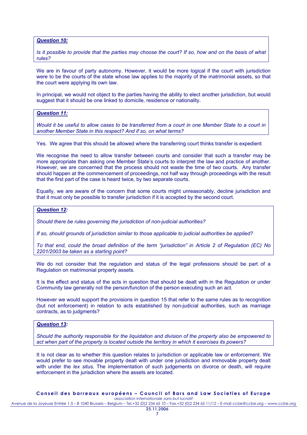*Question 10:*

*Is it possible to provide that the parties may choose the court? If so, how and on the basis of what rules?* 

We are in favour of party autonomy. However, it would be more logical if the court with jurisdiction were to be the courts of the state whose law applies to the majority of the matrimonial assets, so that the court were applying its own law.

In principal, we would not object to the parties having the ability to elect another jurisdiction, but would suggest that it should be one linked to domicile, residence or nationality.

*Question 11:*

*Would it be useful to allow cases to be transferred from a court in one Member State to a court in another Member State in this respect? And if so, on what terms?* 

Yes. We agree that this should be allowed where the transferring court thinks transfer is expedient

We recognise the need to allow transfer between courts and consider that such a transfer may be more appropriate than asking one Member State's courts to interpret the law and practice of another. However, we are concerned that the process should not waste the time of two courts. Any transfer should happen at the commencement of proceedings, not half way through proceedings with the result that the first part of the case is heard twice, by two separate courts.

Equally, we are aware of the concern that some courts might unreasonably, decline jurisdiction and that it must only be possible to transfer jurisdiction if it is accepted by the second court.

#### *Question 12:*

*Should there be rules governing the jurisdiction of non-judicial authorities?* 

*If so, should grounds of jurisdiction similar to those applicable to judicial authorities be applied?* 

*To that end, could the broad definition of the term "jurisdiction" in Article 2 of Regulation (EC) No 2201/2003 be taken as a starting point?* 

We do not consider that the regulation and status of the legal professions should be part of a Regulation on matrimonial property assets.

It is the effect and status of the acts in question that should be dealt with in the Regulation or under Community law generally not the person/function of the person executing such an act.

However we would support the provisions in question 15 that refer to the same rules as to recognition (but not enforcement) in relation to acts established by non-judicial authorities, such as marriage contracts, as to judgments?

## *Question 13:*

*Should the authority responsible for the liquidation and division of the property also be empowered to act when part of the property is located outside the territory in which it exercises its powers?* 

It is not clear as to whether this question relates to jurisdiction or applicable law or enforcement. We would prefer to see movable property dealt with under one jurisdiction and immovable property dealt with under the *lex situs*. The implementation of such judgements on divorce or death, will require enforcement in the jurisdiction where the assets are located.

**Conseil des barreaux européens – Council of Bars and Law Societies of Europe** 

*association internationale sans but lucratif* Avenue de la Joyeuse Entrée 1-5 – B 1040 Brussels – Belgium – Tel.+32 (0)2 234 65 10 – Fax.+32 (0)2 234 65 11/12 – E-mail ccbe@ccbe.org – www.ccbe.org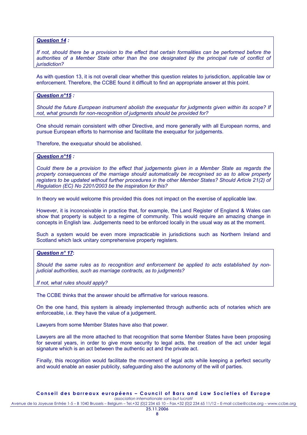## *Question 14 :*

*If not, should there be a provision to the effect that certain formalities can be performed before the authorities of a Member State other than the one designated by the principal rule of conflict of jurisdiction?* 

As with question 13, it is not overall clear whether this question relates to jurisdiction, applicable law or enforcement. Therefore, the CCBE found it difficult to find an appropriate answer at this point.

## *Question n°15 :*

*Should the future European instrument abolish the exequatur for judgments given within its scope? If not, what grounds for non-recognition of judgments should be provided for?*

One should remain consistent with other Directive, and more generally with all European norms, and pursue European efforts to harmonise and facilitate the exequatur for judgements.

Therefore, the exequatur should be abolished.

## *Question n°16 :*

*Could there be a provision to the effect that judgements given in a Member State as regards the property consequences of the marriage should automatically be recognised so as to allow property registers to be updated without further procedures in the other Member States? Should Article 21(2) of Regulation (EC) No 2201/2003 be the inspiration for this?* 

In theory we would welcome this provided this does not impact on the exercise of applicable law.

However, it is inconceivable in practice that, for example, the Land Register of England & Wales can show that property is subject to a regime of community. This would require an amazing change in concepts in English law. Judgements need to be enforced locally in the usual way as at the moment.

Such a system would be even more impracticable in jurisdictions such as Northern Ireland and Scotland which lack unitary comprehensive property registers.

## *Question n° 17***:**

*Should the same rules as to recognition and enforcement be applied to acts established by nonjudicial authorities, such as marriage contracts, as to judgments?* 

*If not, what rules should apply?* 

The CCBE thinks that the answer should be affirmative for various reasons.

On the one hand, this system is already implemented through authentic acts of notaries which are enforceable, i.e. they have the value of a judgement.

Lawyers from some Member States have also that power.

Lawyers are all the more attached to that recognition that some Member States have been proposing for several years, in order to give more security to legal acts, the creation of the act under legal signature which is an act between the authentic act and the private act.

Finally, this recognition would facilitate the movement of legal acts while keeping a perfect security and would enable an easier publicity, safeguarding also the autonomy of the will of parties.

#### **Conseil des barreaux européens – Council of Bars and Law Societies of Europe**  *association internationale sans but lucratif*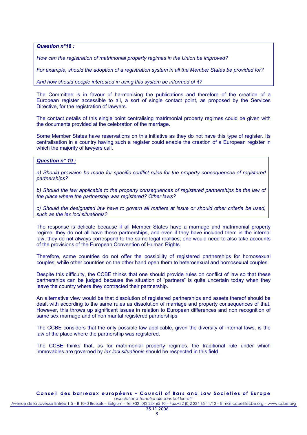*Question n°18 :* 

*How can the registration of matrimonial property regimes in the Union be improved?* 

*For example, should the adoption of a registration system in all the Member States be provided for?* 

*And how should people interested in using this system be informed of it?* 

The Committee is in favour of harmonising the publications and therefore of the creation of a European register accessible to all, a sort of single contact point, as proposed by the Services Directive, for the registration of lawyers.

The contact details of this single point centralising matrimonial property regimes could be given with the documents provided at the celebration of the marriage.

Some Member States have reservations on this initiative as they do not have this type of register. Its centralisation in a country having such a register could enable the creation of a European register in which the majority of lawyers call.

## *Question n° 19 :*

*a) Should provision be made for specific conflict rules for the property consequences of registered partnerships?* 

*b) Should the law applicable to the property consequences of registered partnerships be the law of the place where the partnership was registered? Other laws?* 

*c) Should the designated law have to govern all matters at issue or should other criteria be used, such as the lex loci situationis?*

The response is delicate because if all Member States have a marriage and matrimonial property regime, they do not all have these partnerships, and even if they have included them in the internal law, they do not always correspond to the same legal realities; one would need to also take accounts of the provisions of the European Convention of Human Rights.

Therefore, some countries do not offer the possibility of registered partnerships for homosexual couples, while other countries on the other hand open them to heterosexual and homosexual couples.

Despite this difficulty, the CCBE thinks that one should provide rules on conflict of law so that these partnerships can be judged because the situation of "partners" is quite uncertain today when they leave the country where they contracted their partnership.

An alternative view would be that dissolution of registered partnerships and assets thereof should be dealt with according to the same rules as dissolution of marriage and property consequences of that. However, this throws up significant issues in relation to European differences and non recognition of same sex marriage and of non marital registered partnerships

The CCBE considers that the only possible law applicable, given the diversity of internal laws, is the law of the place where the partnership was registered.

The CCBE thinks that, as for matrimonial property regimes, the traditional rule under which immovables are governed by *lex loci situationis* should be respected in this field.